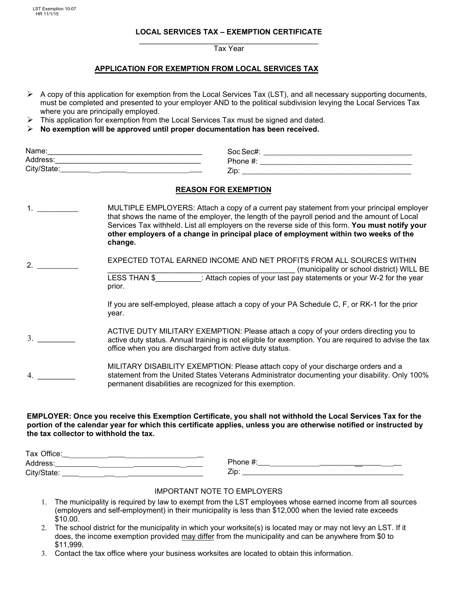LST Exemption 10-07 HR 11/1/15

## **LOCAL SERVICES TAX – EXEMPTION CERTIFICATE**

\_\_\_\_\_\_\_\_\_\_\_\_\_\_\_\_\_\_\_\_\_\_\_\_\_\_\_\_\_\_\_\_\_\_\_\_\_\_\_\_\_\_\_ Tax Year

## **APPLICATION FOR EXEMPTION FROM LOCAL SERVICES TAX**

- $\triangleright$  A copy of this application for exemption from the Local Services Tax (LST), and all necessary supporting documents, must be completed and presented to your employer AND to the political subdivision levying the Local Services Tax where you are principally employed.
- $\triangleright$  This application for exemption from the Local Services Tax must be signed and dated.
- ¾ **No exemption will be approved until proper documentation has been received.**

| Name:                 | Soc Sec# |
|-----------------------|----------|
| Address:              | Phone,   |
| City/State:<br>______ | Zip      |

#### **REASON FOR EXEMPTION**

- 1. \_\_\_\_\_\_\_\_\_\_ MULTIPLE EMPLOYERS: Attach a copy of a current pay statement from your principal employer that shows the name of the employer, the length of the payroll period and the amount of Local Services Tax withheld. List all employers on the reverse side of this form. **You must notify your other employers of a change in principal place of employment within two weeks of the change.**
- 2. \_\_\_\_\_\_\_\_\_\_ EXPECTED TOTAL EARNED INCOME AND NET PROFITS FROM ALL SOURCES WITHIN (municipality or school district) WILL BE LESS THAN \$ : Attach copies of your last pay statements or your W-2 for the year prior.
	- If you are self-employed, please attach a copy of your PA Schedule C, F, or RK-1 for the prior year.
- $3.$ ACTIVE DUTY MILITARY EXEMPTION: Please attach a copy of your orders directing you to active duty status. Annual training is not eligible for exemption. You are required to advise the tax office when you are discharged from active duty status.
- 4. \_\_\_\_\_\_\_\_\_ MILITARY DISABILITY EXEMPTION: Please attach copy of your discharge orders and a statement from the United States Veterans Administrator documenting your disability. Only 100% permanent disabilities are recognized for this exemption.

## **EMPLOYER: Once you receive this Exemption Certificate, you shall not withhold the Local Services Tax for the portion of the calendar year for which this certificate applies, unless you are otherwise notified or instructed by the tax collector to withhold the tax.**

| Tax<br>:סוπכe |                 |
|---------------|-----------------|
| Address:      | <b>ി</b> h∩nല - |
| City/State:   | Zip             |

#### IMPORTANT NOTE TO EMPLOYERS

- 1. The municipality is required by law to exempt from the LST employees whose earned income from all sources (employers and self-employment) in their municipality is less than \$12,000 when the levied rate exceeds \$10.00.
- 2. The school district for the municipality in which your worksite(s) is located may or may not levy an LST. If it does, the income exemption provided may differ from the municipality and can be anywhere from \$0 to \$11,999.
- 3. Contact the tax office where your business worksites are located to obtain this information.